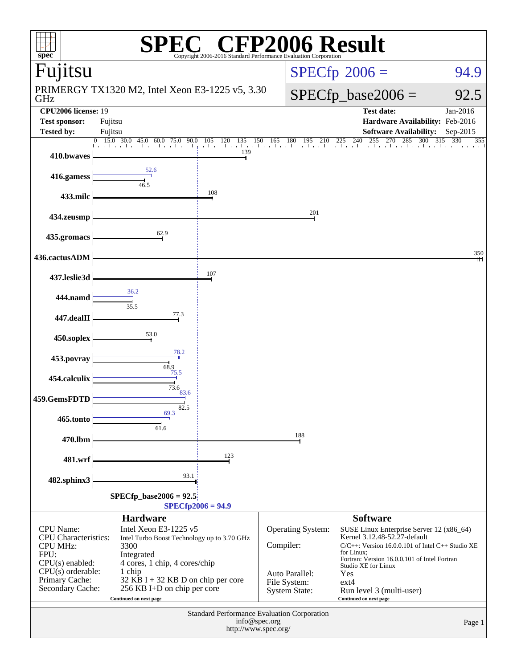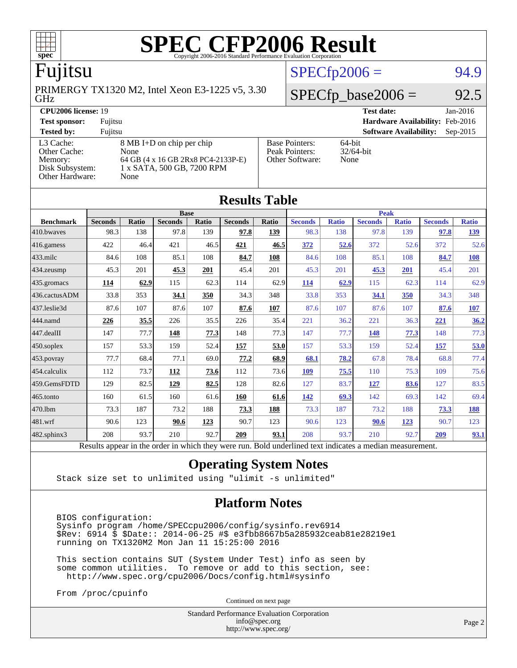

### Fujitsu

GHz PRIMERGY TX1320 M2, Intel Xeon E3-1225 v5, 3.30

### **[CPU2006 license:](http://www.spec.org/auto/cpu2006/Docs/result-fields.html#CPU2006license)** 19 **[Test date:](http://www.spec.org/auto/cpu2006/Docs/result-fields.html#Testdate)** Jan-2016

**[Test sponsor:](http://www.spec.org/auto/cpu2006/Docs/result-fields.html#Testsponsor)** Fujitsu **[Hardware Availability:](http://www.spec.org/auto/cpu2006/Docs/result-fields.html#HardwareAvailability)** Feb-2016 [Other Cache:](http://www.spec.org/auto/cpu2006/Docs/result-fields.html#OtherCache)

[Other Hardware:](http://www.spec.org/auto/cpu2006/Docs/result-fields.html#OtherHardware) None

[L3 Cache:](http://www.spec.org/auto/cpu2006/Docs/result-fields.html#L3Cache) 8 MB I+D on chip per chip<br>Other Cache: None [Memory:](http://www.spec.org/auto/cpu2006/Docs/result-fields.html#Memory) 64 GB (4 x 16 GB 2Rx8 PC4-2133P-E) [Disk Subsystem:](http://www.spec.org/auto/cpu2006/Docs/result-fields.html#DiskSubsystem) 1 x SATA, 500 GB, 7200 RPM

| <b>TEST SPOILSOL!</b>                                   | Tullisu                                                                                                                |                                                                   | <b>Hardware Availability.</b> Feb-2010 |          |
|---------------------------------------------------------|------------------------------------------------------------------------------------------------------------------------|-------------------------------------------------------------------|----------------------------------------|----------|
| <b>Tested by:</b>                                       | Fuiitsu                                                                                                                |                                                                   | <b>Software Availability:</b>          | Sep-2015 |
| L3 Cache:<br>Other Cache:<br>Memory:<br>Disk Subsystem: | $8 \text{ MB I+D}$ on chip per chip<br><b>None</b><br>64 GB (4 x 16 GB 2Rx8 PC4-2133P-E)<br>1 x SATA. 500 GB. 7200 RPM | <b>Base Pointers:</b><br>Peak Pointers:<br><b>Other Software:</b> | 64-bit<br>$32/64$ -bit<br>None         |          |

 $SPECfp2006 = 94.9$  $SPECfp2006 = 94.9$ 

 $SPECfp\_base2006 = 92.5$ 

| <b>Results Table</b>   |                                                                                                          |       |                |       |                |            |                |              |                |              |                |              |
|------------------------|----------------------------------------------------------------------------------------------------------|-------|----------------|-------|----------------|------------|----------------|--------------|----------------|--------------|----------------|--------------|
|                        | <b>Base</b>                                                                                              |       |                |       |                |            | <b>Peak</b>    |              |                |              |                |              |
| <b>Benchmark</b>       | <b>Seconds</b>                                                                                           | Ratio | <b>Seconds</b> | Ratio | <b>Seconds</b> | Ratio      | <b>Seconds</b> | <b>Ratio</b> | <b>Seconds</b> | <b>Ratio</b> | <b>Seconds</b> | <b>Ratio</b> |
| 410.bwayes             | 98.3                                                                                                     | 138   | 97.8           | 139   | 97.8           | 139        | 98.3           | 138          | 97.8           | 139          | 97.8           | 139          |
| $416$ .gamess          | 422                                                                                                      | 46.4  | 421            | 46.5  | 421            | 46.5       | 372            | 52.6         | 372            | 52.6         | 372            | 52.6         |
| $433$ .milc            | 84.6                                                                                                     | 108   | 85.1           | 108   | 84.7           | 108        | 84.6           | 108          | 85.1           | 108          | 84.7           | 108          |
| 434.zeusmp             | 45.3                                                                                                     | 201   | 45.3           | 201   | 45.4           | 201        | 45.3           | 201          | 45.3           | 201          | 45.4           | 201          |
| $435.$ gromacs         | 114                                                                                                      | 62.9  | 115            | 62.3  | 114            | 62.9       | 114            | 62.9         | 115            | 62.3         | 114            | 62.9         |
| 436.cactusADM          | 33.8                                                                                                     | 353   | 34.1           | 350   | 34.3           | 348        | 33.8           | 353          | 34.1           | 350          | 34.3           | 348          |
| 437.leslie3d           | 87.6                                                                                                     | 107   | 87.6           | 107   | 87.6           | 107        | 87.6           | 107          | 87.6           | 107          | 87.6           | 107          |
| 444.namd               | 226                                                                                                      | 35.5  | 226            | 35.5  | 226            | 35.4       | 221            | 36.2         | 221            | 36.3         | 221            | 36.2         |
| $ 447 \text{.}$ dealII | 147                                                                                                      | 77.7  | 148            | 77.3  | 148            | 77.3       | 147            | 77.7         | 148            | 77.3         | 148            | 77.3         |
| $450$ .soplex          | 157                                                                                                      | 53.3  | 159            | 52.4  | 157            | 53.0       | 157            | 53.3         | 159            | 52.4         | 157            | 53.0         |
| $453$ .povray          | 77.7                                                                                                     | 68.4  | 77.1           | 69.0  | 77.2           | 68.9       | 68.1           | 78.2         | 67.8           | 78.4         | 68.8           | 77.4         |
| $454$ .calculix        | 112                                                                                                      | 73.7  | <u>112</u>     | 73.6  | 112            | 73.6       | <b>109</b>     | 75.5         | 110            | 75.3         | 109            | 75.6         |
| 459.GemsFDTD           | 129                                                                                                      | 82.5  | 129            | 82.5  | 128            | 82.6       | 127            | 83.7         | 127            | 83.6         | 127            | 83.5         |
| $465$ .tonto           | 160                                                                                                      | 61.5  | 160            | 61.6  | 160            | 61.6       | <u>142</u>     | 69.3         | 142            | 69.3         | 142            | 69.4         |
| 470.1bm                | 73.3                                                                                                     | 187   | 73.2           | 188   | 73.3           | <b>188</b> | 73.3           | 187          | 73.2           | 188          | 73.3           | 188          |
| $ 481$ .wrf            | 90.6                                                                                                     | 123   | 90.6           | 123   | 90.7           | 123        | 90.6           | 123          | 90.6           | 123          | 90.7           | 123          |
| $482$ .sphinx $3$      | 208                                                                                                      | 93.7  | 210            | 92.7  | 209            | 93.1       | 208            | 93.7         | 210            | 92.7         | 209            | 93.1         |
|                        | Results appear in the order in which they were run. Bold underlined text indicates a median measurement. |       |                |       |                |            |                |              |                |              |                |              |

### **[Operating System Notes](http://www.spec.org/auto/cpu2006/Docs/result-fields.html#OperatingSystemNotes)**

Stack size set to unlimited using "ulimit -s unlimited"

### **[Platform Notes](http://www.spec.org/auto/cpu2006/Docs/result-fields.html#PlatformNotes)**

 BIOS configuration: Sysinfo program /home/SPECcpu2006/config/sysinfo.rev6914 \$Rev: 6914 \$ \$Date:: 2014-06-25 #\$ e3fbb8667b5a285932ceab81e28219e1 running on TX1320M2 Mon Jan 11 15:25:00 2016

 This section contains SUT (System Under Test) info as seen by some common utilities. To remove or add to this section, see: <http://www.spec.org/cpu2006/Docs/config.html#sysinfo>

From /proc/cpuinfo

Continued on next page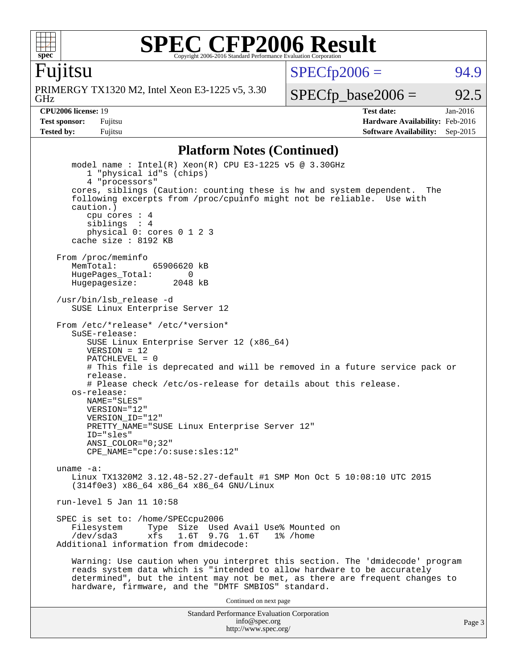

Fujitsu

 $SPECTp2006 = 94.9$ 

GHz PRIMERGY TX1320 M2, Intel Xeon E3-1225 v5, 3.30

 $SPECTp\_base2006 = 92.5$ 

**[CPU2006 license:](http://www.spec.org/auto/cpu2006/Docs/result-fields.html#CPU2006license)** 19 **[Test date:](http://www.spec.org/auto/cpu2006/Docs/result-fields.html#Testdate)** Jan-2016 **[Test sponsor:](http://www.spec.org/auto/cpu2006/Docs/result-fields.html#Testsponsor)** Fujitsu **[Hardware Availability:](http://www.spec.org/auto/cpu2006/Docs/result-fields.html#HardwareAvailability)** Feb-2016 **[Tested by:](http://www.spec.org/auto/cpu2006/Docs/result-fields.html#Testedby)** Fujitsu **Fugital Example 2015 [Software Availability:](http://www.spec.org/auto/cpu2006/Docs/result-fields.html#SoftwareAvailability)** Sep-2015

### **[Platform Notes \(Continued\)](http://www.spec.org/auto/cpu2006/Docs/result-fields.html#PlatformNotes)**

```
Standard Performance Evaluation Corporation
                                    info@spec.org
   model name : Intel(R) Xeon(R) CPU E3-1225 v5 @ 3.30GHz
      1 "physical id"s (chips)
      4 "processors"
   cores, siblings (Caution: counting these is hw and system dependent. The
   following excerpts from /proc/cpuinfo might not be reliable. Use with
   caution.)
      cpu cores : 4
      siblings : 4
      physical 0: cores 0 1 2 3
   cache size : 8192 KB
From /proc/meminfo
   MemTotal: 65906620 kB
  HugePages_Total: 0<br>Hugepagesize: 2048 kB
  Hugepagesize:
/usr/bin/lsb_release -d
   SUSE Linux Enterprise Server 12
From /etc/*release* /etc/*version*
   SuSE-release:
      SUSE Linux Enterprise Server 12 (x86_64)
     VFRSTON = 12 PATCHLEVEL = 0
      # This file is deprecated and will be removed in a future service pack or
      release.
      # Please check /etc/os-release for details about this release.
   os-release:
      NAME="SLES"
      VERSION="12"
      VERSION_ID="12"
      PRETTY_NAME="SUSE Linux Enterprise Server 12"
      ID="sles"
      ANSI_COLOR="0;32"
      CPE_NAME="cpe:/o:suse:sles:12"
uname -a:
   Linux TX1320M2 3.12.48-52.27-default #1 SMP Mon Oct 5 10:08:10 UTC 2015
   (314f0e3) x86_64 x86_64 x86_64 GNU/Linux
run-level 5 Jan 11 10:58
SPEC is set to: /home/SPECcpu2006
                 Type Size Used Avail Use% Mounted on
   /dev/sda3 xfs 1.6T 9.7G 1.6T 1% /home
Additional information from dmidecode:
   Warning: Use caution when you interpret this section. The 'dmidecode' program
   reads system data which is "intended to allow hardware to be accurately
   determined", but the intent may not be met, as there are frequent changes to
   hardware, firmware, and the "DMTF SMBIOS" standard.
                                  Continued on next page
```
<http://www.spec.org/>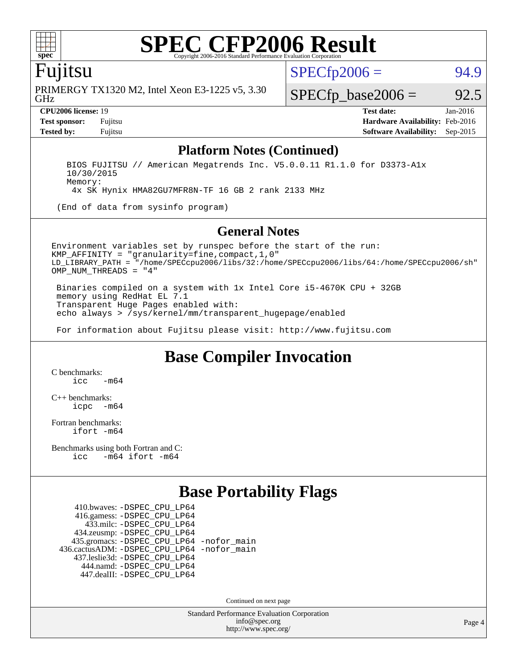

### Fujitsu

GHz PRIMERGY TX1320 M2, Intel Xeon E3-1225 v5, 3.30  $SPECTp2006 = 94.9$ 

 $SPECTp\_base2006 = 92.5$ 

**[CPU2006 license:](http://www.spec.org/auto/cpu2006/Docs/result-fields.html#CPU2006license)** 19 **[Test date:](http://www.spec.org/auto/cpu2006/Docs/result-fields.html#Testdate)** Jan-2016 **[Test sponsor:](http://www.spec.org/auto/cpu2006/Docs/result-fields.html#Testsponsor)** Fujitsu **[Hardware Availability:](http://www.spec.org/auto/cpu2006/Docs/result-fields.html#HardwareAvailability)** Feb-2016 **[Tested by:](http://www.spec.org/auto/cpu2006/Docs/result-fields.html#Testedby)** Fujitsu **[Software Availability:](http://www.spec.org/auto/cpu2006/Docs/result-fields.html#SoftwareAvailability)** Sep-2015

### **[Platform Notes \(Continued\)](http://www.spec.org/auto/cpu2006/Docs/result-fields.html#PlatformNotes)**

 BIOS FUJITSU // American Megatrends Inc. V5.0.0.11 R1.1.0 for D3373-A1x 10/30/2015 Memory:

4x SK Hynix HMA82GU7MFR8N-TF 16 GB 2 rank 2133 MHz

(End of data from sysinfo program)

### **[General Notes](http://www.spec.org/auto/cpu2006/Docs/result-fields.html#GeneralNotes)**

Environment variables set by runspec before the start of the run: KMP\_AFFINITY = "granularity=fine,compact,1,0" LD\_LIBRARY\_PATH = "/home/SPECcpu2006/libs/32:/home/SPECcpu2006/libs/64:/home/SPECcpu2006/sh" OMP NUM THREADS = "4"

 Binaries compiled on a system with 1x Intel Core i5-4670K CPU + 32GB memory using RedHat EL 7.1 Transparent Huge Pages enabled with: echo always > /sys/kernel/mm/transparent\_hugepage/enabled

For information about Fujitsu please visit: <http://www.fujitsu.com>

### **[Base Compiler Invocation](http://www.spec.org/auto/cpu2006/Docs/result-fields.html#BaseCompilerInvocation)**

[C benchmarks](http://www.spec.org/auto/cpu2006/Docs/result-fields.html#Cbenchmarks):  $irc = m64$ 

[C++ benchmarks:](http://www.spec.org/auto/cpu2006/Docs/result-fields.html#CXXbenchmarks) [icpc -m64](http://www.spec.org/cpu2006/results/res2016q1/cpu2006-20160125-38911.flags.html#user_CXXbase_intel_icpc_64bit_bedb90c1146cab66620883ef4f41a67e)

[Fortran benchmarks](http://www.spec.org/auto/cpu2006/Docs/result-fields.html#Fortranbenchmarks): [ifort -m64](http://www.spec.org/cpu2006/results/res2016q1/cpu2006-20160125-38911.flags.html#user_FCbase_intel_ifort_64bit_ee9d0fb25645d0210d97eb0527dcc06e)

[Benchmarks using both Fortran and C](http://www.spec.org/auto/cpu2006/Docs/result-fields.html#BenchmarksusingbothFortranandC): [icc -m64](http://www.spec.org/cpu2006/results/res2016q1/cpu2006-20160125-38911.flags.html#user_CC_FCbase_intel_icc_64bit_0b7121f5ab7cfabee23d88897260401c) [ifort -m64](http://www.spec.org/cpu2006/results/res2016q1/cpu2006-20160125-38911.flags.html#user_CC_FCbase_intel_ifort_64bit_ee9d0fb25645d0210d97eb0527dcc06e)

### **[Base Portability Flags](http://www.spec.org/auto/cpu2006/Docs/result-fields.html#BasePortabilityFlags)**

 410.bwaves: [-DSPEC\\_CPU\\_LP64](http://www.spec.org/cpu2006/results/res2016q1/cpu2006-20160125-38911.flags.html#suite_basePORTABILITY410_bwaves_DSPEC_CPU_LP64) 416.gamess: [-DSPEC\\_CPU\\_LP64](http://www.spec.org/cpu2006/results/res2016q1/cpu2006-20160125-38911.flags.html#suite_basePORTABILITY416_gamess_DSPEC_CPU_LP64) 433.milc: [-DSPEC\\_CPU\\_LP64](http://www.spec.org/cpu2006/results/res2016q1/cpu2006-20160125-38911.flags.html#suite_basePORTABILITY433_milc_DSPEC_CPU_LP64) 434.zeusmp: [-DSPEC\\_CPU\\_LP64](http://www.spec.org/cpu2006/results/res2016q1/cpu2006-20160125-38911.flags.html#suite_basePORTABILITY434_zeusmp_DSPEC_CPU_LP64) 435.gromacs: [-DSPEC\\_CPU\\_LP64](http://www.spec.org/cpu2006/results/res2016q1/cpu2006-20160125-38911.flags.html#suite_basePORTABILITY435_gromacs_DSPEC_CPU_LP64) [-nofor\\_main](http://www.spec.org/cpu2006/results/res2016q1/cpu2006-20160125-38911.flags.html#user_baseLDPORTABILITY435_gromacs_f-nofor_main) 436.cactusADM: [-DSPEC\\_CPU\\_LP64](http://www.spec.org/cpu2006/results/res2016q1/cpu2006-20160125-38911.flags.html#suite_basePORTABILITY436_cactusADM_DSPEC_CPU_LP64) [-nofor\\_main](http://www.spec.org/cpu2006/results/res2016q1/cpu2006-20160125-38911.flags.html#user_baseLDPORTABILITY436_cactusADM_f-nofor_main) 437.leslie3d: [-DSPEC\\_CPU\\_LP64](http://www.spec.org/cpu2006/results/res2016q1/cpu2006-20160125-38911.flags.html#suite_basePORTABILITY437_leslie3d_DSPEC_CPU_LP64) 444.namd: [-DSPEC\\_CPU\\_LP64](http://www.spec.org/cpu2006/results/res2016q1/cpu2006-20160125-38911.flags.html#suite_basePORTABILITY444_namd_DSPEC_CPU_LP64) 447.dealII: [-DSPEC\\_CPU\\_LP64](http://www.spec.org/cpu2006/results/res2016q1/cpu2006-20160125-38911.flags.html#suite_basePORTABILITY447_dealII_DSPEC_CPU_LP64)

Continued on next page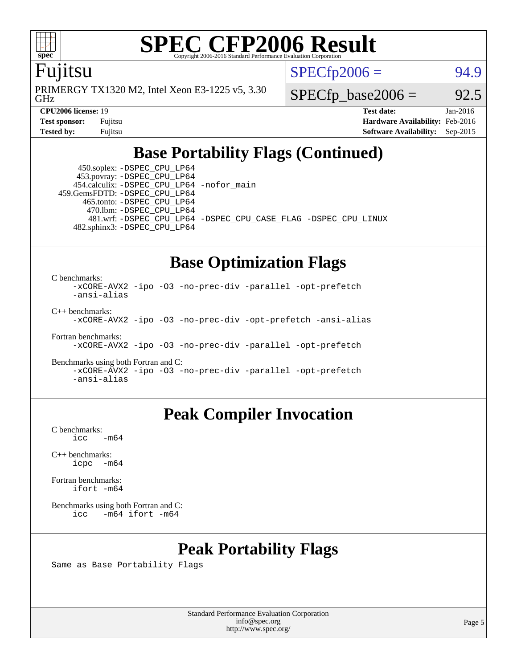

### Fujitsu

GHz PRIMERGY TX1320 M2, Intel Xeon E3-1225 v5, 3.30  $SPECTp2006 = 94.9$ 

 $SPECTp\_base2006 = 92.5$ 

**[CPU2006 license:](http://www.spec.org/auto/cpu2006/Docs/result-fields.html#CPU2006license)** 19 **[Test date:](http://www.spec.org/auto/cpu2006/Docs/result-fields.html#Testdate)** Jan-2016 **[Test sponsor:](http://www.spec.org/auto/cpu2006/Docs/result-fields.html#Testsponsor)** Fujitsu **[Hardware Availability:](http://www.spec.org/auto/cpu2006/Docs/result-fields.html#HardwareAvailability)** Feb-2016 **[Tested by:](http://www.spec.org/auto/cpu2006/Docs/result-fields.html#Testedby)** Fujitsu **[Software Availability:](http://www.spec.org/auto/cpu2006/Docs/result-fields.html#SoftwareAvailability)** Sep-2015

## **[Base Portability Flags \(Continued\)](http://www.spec.org/auto/cpu2006/Docs/result-fields.html#BasePortabilityFlags)**

 450.soplex: [-DSPEC\\_CPU\\_LP64](http://www.spec.org/cpu2006/results/res2016q1/cpu2006-20160125-38911.flags.html#suite_basePORTABILITY450_soplex_DSPEC_CPU_LP64) 453.povray: [-DSPEC\\_CPU\\_LP64](http://www.spec.org/cpu2006/results/res2016q1/cpu2006-20160125-38911.flags.html#suite_basePORTABILITY453_povray_DSPEC_CPU_LP64) 454.calculix: [-DSPEC\\_CPU\\_LP64](http://www.spec.org/cpu2006/results/res2016q1/cpu2006-20160125-38911.flags.html#suite_basePORTABILITY454_calculix_DSPEC_CPU_LP64) [-nofor\\_main](http://www.spec.org/cpu2006/results/res2016q1/cpu2006-20160125-38911.flags.html#user_baseLDPORTABILITY454_calculix_f-nofor_main) 459.GemsFDTD: [-DSPEC\\_CPU\\_LP64](http://www.spec.org/cpu2006/results/res2016q1/cpu2006-20160125-38911.flags.html#suite_basePORTABILITY459_GemsFDTD_DSPEC_CPU_LP64) 465.tonto: [-DSPEC\\_CPU\\_LP64](http://www.spec.org/cpu2006/results/res2016q1/cpu2006-20160125-38911.flags.html#suite_basePORTABILITY465_tonto_DSPEC_CPU_LP64) 470.lbm: [-DSPEC\\_CPU\\_LP64](http://www.spec.org/cpu2006/results/res2016q1/cpu2006-20160125-38911.flags.html#suite_basePORTABILITY470_lbm_DSPEC_CPU_LP64) 482.sphinx3: [-DSPEC\\_CPU\\_LP64](http://www.spec.org/cpu2006/results/res2016q1/cpu2006-20160125-38911.flags.html#suite_basePORTABILITY482_sphinx3_DSPEC_CPU_LP64)

481.wrf: [-DSPEC\\_CPU\\_LP64](http://www.spec.org/cpu2006/results/res2016q1/cpu2006-20160125-38911.flags.html#suite_basePORTABILITY481_wrf_DSPEC_CPU_LP64) [-DSPEC\\_CPU\\_CASE\\_FLAG](http://www.spec.org/cpu2006/results/res2016q1/cpu2006-20160125-38911.flags.html#b481.wrf_baseCPORTABILITY_DSPEC_CPU_CASE_FLAG) [-DSPEC\\_CPU\\_LINUX](http://www.spec.org/cpu2006/results/res2016q1/cpu2006-20160125-38911.flags.html#b481.wrf_baseCPORTABILITY_DSPEC_CPU_LINUX)

### **[Base Optimization Flags](http://www.spec.org/auto/cpu2006/Docs/result-fields.html#BaseOptimizationFlags)**

[C benchmarks](http://www.spec.org/auto/cpu2006/Docs/result-fields.html#Cbenchmarks):

[-xCORE-AVX2](http://www.spec.org/cpu2006/results/res2016q1/cpu2006-20160125-38911.flags.html#user_CCbase_f-xAVX2_5f5fc0cbe2c9f62c816d3e45806c70d7) [-ipo](http://www.spec.org/cpu2006/results/res2016q1/cpu2006-20160125-38911.flags.html#user_CCbase_f-ipo) [-O3](http://www.spec.org/cpu2006/results/res2016q1/cpu2006-20160125-38911.flags.html#user_CCbase_f-O3) [-no-prec-div](http://www.spec.org/cpu2006/results/res2016q1/cpu2006-20160125-38911.flags.html#user_CCbase_f-no-prec-div) [-parallel](http://www.spec.org/cpu2006/results/res2016q1/cpu2006-20160125-38911.flags.html#user_CCbase_f-parallel) [-opt-prefetch](http://www.spec.org/cpu2006/results/res2016q1/cpu2006-20160125-38911.flags.html#user_CCbase_f-opt-prefetch) [-ansi-alias](http://www.spec.org/cpu2006/results/res2016q1/cpu2006-20160125-38911.flags.html#user_CCbase_f-ansi-alias) [C++ benchmarks:](http://www.spec.org/auto/cpu2006/Docs/result-fields.html#CXXbenchmarks)

[-xCORE-AVX2](http://www.spec.org/cpu2006/results/res2016q1/cpu2006-20160125-38911.flags.html#user_CXXbase_f-xAVX2_5f5fc0cbe2c9f62c816d3e45806c70d7) [-ipo](http://www.spec.org/cpu2006/results/res2016q1/cpu2006-20160125-38911.flags.html#user_CXXbase_f-ipo) [-O3](http://www.spec.org/cpu2006/results/res2016q1/cpu2006-20160125-38911.flags.html#user_CXXbase_f-O3) [-no-prec-div](http://www.spec.org/cpu2006/results/res2016q1/cpu2006-20160125-38911.flags.html#user_CXXbase_f-no-prec-div) [-opt-prefetch](http://www.spec.org/cpu2006/results/res2016q1/cpu2006-20160125-38911.flags.html#user_CXXbase_f-opt-prefetch) [-ansi-alias](http://www.spec.org/cpu2006/results/res2016q1/cpu2006-20160125-38911.flags.html#user_CXXbase_f-ansi-alias)

[Fortran benchmarks](http://www.spec.org/auto/cpu2006/Docs/result-fields.html#Fortranbenchmarks): [-xCORE-AVX2](http://www.spec.org/cpu2006/results/res2016q1/cpu2006-20160125-38911.flags.html#user_FCbase_f-xAVX2_5f5fc0cbe2c9f62c816d3e45806c70d7) [-ipo](http://www.spec.org/cpu2006/results/res2016q1/cpu2006-20160125-38911.flags.html#user_FCbase_f-ipo) [-O3](http://www.spec.org/cpu2006/results/res2016q1/cpu2006-20160125-38911.flags.html#user_FCbase_f-O3) [-no-prec-div](http://www.spec.org/cpu2006/results/res2016q1/cpu2006-20160125-38911.flags.html#user_FCbase_f-no-prec-div) [-parallel](http://www.spec.org/cpu2006/results/res2016q1/cpu2006-20160125-38911.flags.html#user_FCbase_f-parallel) [-opt-prefetch](http://www.spec.org/cpu2006/results/res2016q1/cpu2006-20160125-38911.flags.html#user_FCbase_f-opt-prefetch)

[Benchmarks using both Fortran and C](http://www.spec.org/auto/cpu2006/Docs/result-fields.html#BenchmarksusingbothFortranandC): [-xCORE-AVX2](http://www.spec.org/cpu2006/results/res2016q1/cpu2006-20160125-38911.flags.html#user_CC_FCbase_f-xAVX2_5f5fc0cbe2c9f62c816d3e45806c70d7) [-ipo](http://www.spec.org/cpu2006/results/res2016q1/cpu2006-20160125-38911.flags.html#user_CC_FCbase_f-ipo) [-O3](http://www.spec.org/cpu2006/results/res2016q1/cpu2006-20160125-38911.flags.html#user_CC_FCbase_f-O3) [-no-prec-div](http://www.spec.org/cpu2006/results/res2016q1/cpu2006-20160125-38911.flags.html#user_CC_FCbase_f-no-prec-div) [-parallel](http://www.spec.org/cpu2006/results/res2016q1/cpu2006-20160125-38911.flags.html#user_CC_FCbase_f-parallel) [-opt-prefetch](http://www.spec.org/cpu2006/results/res2016q1/cpu2006-20160125-38911.flags.html#user_CC_FCbase_f-opt-prefetch) [-ansi-alias](http://www.spec.org/cpu2006/results/res2016q1/cpu2006-20160125-38911.flags.html#user_CC_FCbase_f-ansi-alias)

### **[Peak Compiler Invocation](http://www.spec.org/auto/cpu2006/Docs/result-fields.html#PeakCompilerInvocation)**

[C benchmarks](http://www.spec.org/auto/cpu2006/Docs/result-fields.html#Cbenchmarks):  $\text{icc}$   $-\text{m64}$ 

[C++ benchmarks:](http://www.spec.org/auto/cpu2006/Docs/result-fields.html#CXXbenchmarks) [icpc -m64](http://www.spec.org/cpu2006/results/res2016q1/cpu2006-20160125-38911.flags.html#user_CXXpeak_intel_icpc_64bit_bedb90c1146cab66620883ef4f41a67e)

[Fortran benchmarks](http://www.spec.org/auto/cpu2006/Docs/result-fields.html#Fortranbenchmarks): [ifort -m64](http://www.spec.org/cpu2006/results/res2016q1/cpu2006-20160125-38911.flags.html#user_FCpeak_intel_ifort_64bit_ee9d0fb25645d0210d97eb0527dcc06e)

[Benchmarks using both Fortran and C](http://www.spec.org/auto/cpu2006/Docs/result-fields.html#BenchmarksusingbothFortranandC): [icc -m64](http://www.spec.org/cpu2006/results/res2016q1/cpu2006-20160125-38911.flags.html#user_CC_FCpeak_intel_icc_64bit_0b7121f5ab7cfabee23d88897260401c) [ifort -m64](http://www.spec.org/cpu2006/results/res2016q1/cpu2006-20160125-38911.flags.html#user_CC_FCpeak_intel_ifort_64bit_ee9d0fb25645d0210d97eb0527dcc06e)

## **[Peak Portability Flags](http://www.spec.org/auto/cpu2006/Docs/result-fields.html#PeakPortabilityFlags)**

Same as Base Portability Flags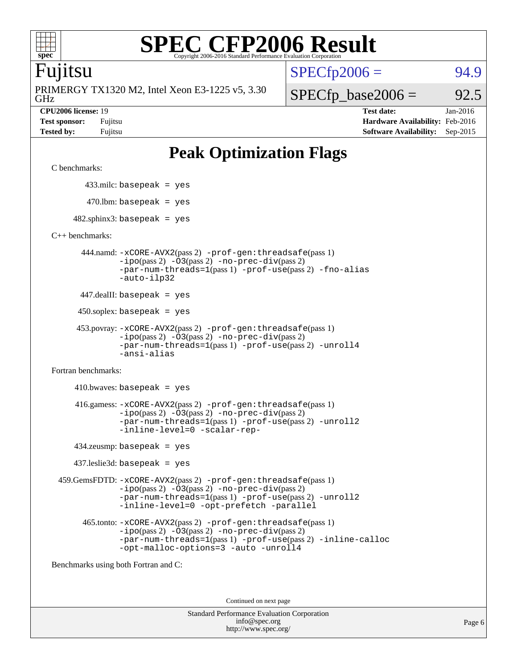

### Fujitsu

GHz PRIMERGY TX1320 M2, Intel Xeon E3-1225 v5, 3.30  $SPECTp2006 = 94.9$ 

 $SPECfp\_base2006 = 92.5$ **[CPU2006 license:](http://www.spec.org/auto/cpu2006/Docs/result-fields.html#CPU2006license)** 19 **[Test date:](http://www.spec.org/auto/cpu2006/Docs/result-fields.html#Testdate)** Jan-2016

**[Test sponsor:](http://www.spec.org/auto/cpu2006/Docs/result-fields.html#Testsponsor)** Fujitsu **[Hardware Availability:](http://www.spec.org/auto/cpu2006/Docs/result-fields.html#HardwareAvailability)** Feb-2016 **[Tested by:](http://www.spec.org/auto/cpu2006/Docs/result-fields.html#Testedby)** Fujitsu **[Software Availability:](http://www.spec.org/auto/cpu2006/Docs/result-fields.html#SoftwareAvailability)** Sep-2015

## **[Peak Optimization Flags](http://www.spec.org/auto/cpu2006/Docs/result-fields.html#PeakOptimizationFlags)**

[C benchmarks](http://www.spec.org/auto/cpu2006/Docs/result-fields.html#Cbenchmarks):

433.milc: basepeak = yes

 $470.$ lbm: basepeak = yes

 $482$ .sphinx3: basepeak = yes

[C++ benchmarks:](http://www.spec.org/auto/cpu2006/Docs/result-fields.html#CXXbenchmarks)

 444.namd: [-xCORE-AVX2](http://www.spec.org/cpu2006/results/res2016q1/cpu2006-20160125-38911.flags.html#user_peakPASS2_CXXFLAGSPASS2_LDFLAGS444_namd_f-xAVX2_5f5fc0cbe2c9f62c816d3e45806c70d7)(pass 2) [-prof-gen:threadsafe](http://www.spec.org/cpu2006/results/res2016q1/cpu2006-20160125-38911.flags.html#user_peakPASS1_CXXFLAGSPASS1_LDFLAGS444_namd_prof_gen_21a26eb79f378b550acd7bec9fe4467a)(pass 1) [-ipo](http://www.spec.org/cpu2006/results/res2016q1/cpu2006-20160125-38911.flags.html#user_peakPASS2_CXXFLAGSPASS2_LDFLAGS444_namd_f-ipo)(pass 2) [-O3](http://www.spec.org/cpu2006/results/res2016q1/cpu2006-20160125-38911.flags.html#user_peakPASS2_CXXFLAGSPASS2_LDFLAGS444_namd_f-O3)(pass 2) [-no-prec-div](http://www.spec.org/cpu2006/results/res2016q1/cpu2006-20160125-38911.flags.html#user_peakPASS2_CXXFLAGSPASS2_LDFLAGS444_namd_f-no-prec-div)(pass 2) [-par-num-threads=1](http://www.spec.org/cpu2006/results/res2016q1/cpu2006-20160125-38911.flags.html#user_peakPASS1_CXXFLAGSPASS1_LDFLAGS444_namd_par_num_threads_786a6ff141b4e9e90432e998842df6c2)(pass 1) [-prof-use](http://www.spec.org/cpu2006/results/res2016q1/cpu2006-20160125-38911.flags.html#user_peakPASS2_CXXFLAGSPASS2_LDFLAGS444_namd_prof_use_bccf7792157ff70d64e32fe3e1250b55)(pass 2) [-fno-alias](http://www.spec.org/cpu2006/results/res2016q1/cpu2006-20160125-38911.flags.html#user_peakCXXOPTIMIZEOPTIMIZE444_namd_f-no-alias_694e77f6c5a51e658e82ccff53a9e63a) [-auto-ilp32](http://www.spec.org/cpu2006/results/res2016q1/cpu2006-20160125-38911.flags.html#user_peakCXXOPTIMIZE444_namd_f-auto-ilp32)

447.dealII: basepeak = yes

 $450$ .soplex: basepeak = yes

```
 453.povray: -xCORE-AVX2(pass 2) -prof-gen:threadsafe(pass 1)
         -ipo(pass 2) -O3(pass 2) -no-prec-div(pass 2)
         -par-num-threads=1(pass 1) -prof-use(pass 2) -unroll4
         -ansi-alias
```
[Fortran benchmarks](http://www.spec.org/auto/cpu2006/Docs/result-fields.html#Fortranbenchmarks):

 $410.bwaves: basepeak = yes$  416.gamess: [-xCORE-AVX2](http://www.spec.org/cpu2006/results/res2016q1/cpu2006-20160125-38911.flags.html#user_peakPASS2_FFLAGSPASS2_LDFLAGS416_gamess_f-xAVX2_5f5fc0cbe2c9f62c816d3e45806c70d7)(pass 2) [-prof-gen:threadsafe](http://www.spec.org/cpu2006/results/res2016q1/cpu2006-20160125-38911.flags.html#user_peakPASS1_FFLAGSPASS1_LDFLAGS416_gamess_prof_gen_21a26eb79f378b550acd7bec9fe4467a)(pass 1)  $-i\text{po}(pass 2) -\text{O3}(pass 2)$  [-no-prec-div](http://www.spec.org/cpu2006/results/res2016q1/cpu2006-20160125-38911.flags.html#user_peakPASS2_FFLAGSPASS2_LDFLAGS416_gamess_f-no-prec-div)(pass 2) [-par-num-threads=1](http://www.spec.org/cpu2006/results/res2016q1/cpu2006-20160125-38911.flags.html#user_peakPASS1_FFLAGSPASS1_LDFLAGS416_gamess_par_num_threads_786a6ff141b4e9e90432e998842df6c2)(pass 1) [-prof-use](http://www.spec.org/cpu2006/results/res2016q1/cpu2006-20160125-38911.flags.html#user_peakPASS2_FFLAGSPASS2_LDFLAGS416_gamess_prof_use_bccf7792157ff70d64e32fe3e1250b55)(pass 2) [-unroll2](http://www.spec.org/cpu2006/results/res2016q1/cpu2006-20160125-38911.flags.html#user_peakOPTIMIZE416_gamess_f-unroll_784dae83bebfb236979b41d2422d7ec2) [-inline-level=0](http://www.spec.org/cpu2006/results/res2016q1/cpu2006-20160125-38911.flags.html#user_peakOPTIMIZE416_gamess_f-inline-level_318d07a09274ad25e8d15dbfaa68ba50) [-scalar-rep-](http://www.spec.org/cpu2006/results/res2016q1/cpu2006-20160125-38911.flags.html#user_peakOPTIMIZE416_gamess_f-disablescalarrep_abbcad04450fb118e4809c81d83c8a1d)

434.zeusmp: basepeak = yes

437.leslie3d: basepeak = yes

 459.GemsFDTD: [-xCORE-AVX2](http://www.spec.org/cpu2006/results/res2016q1/cpu2006-20160125-38911.flags.html#user_peakPASS2_FFLAGSPASS2_LDFLAGS459_GemsFDTD_f-xAVX2_5f5fc0cbe2c9f62c816d3e45806c70d7)(pass 2) [-prof-gen:threadsafe](http://www.spec.org/cpu2006/results/res2016q1/cpu2006-20160125-38911.flags.html#user_peakPASS1_FFLAGSPASS1_LDFLAGS459_GemsFDTD_prof_gen_21a26eb79f378b550acd7bec9fe4467a)(pass 1)  $-i\text{po}(pass 2) -03(pass 2) -no-prec-div(pass 2)$  $-i\text{po}(pass 2) -03(pass 2) -no-prec-div(pass 2)$  $-i\text{po}(pass 2) -03(pass 2) -no-prec-div(pass 2)$ [-par-num-threads=1](http://www.spec.org/cpu2006/results/res2016q1/cpu2006-20160125-38911.flags.html#user_peakPASS1_FFLAGSPASS1_LDFLAGS459_GemsFDTD_par_num_threads_786a6ff141b4e9e90432e998842df6c2)(pass 1) [-prof-use](http://www.spec.org/cpu2006/results/res2016q1/cpu2006-20160125-38911.flags.html#user_peakPASS2_FFLAGSPASS2_LDFLAGS459_GemsFDTD_prof_use_bccf7792157ff70d64e32fe3e1250b55)(pass 2) [-unroll2](http://www.spec.org/cpu2006/results/res2016q1/cpu2006-20160125-38911.flags.html#user_peakOPTIMIZE459_GemsFDTD_f-unroll_784dae83bebfb236979b41d2422d7ec2) [-inline-level=0](http://www.spec.org/cpu2006/results/res2016q1/cpu2006-20160125-38911.flags.html#user_peakOPTIMIZE459_GemsFDTD_f-inline-level_318d07a09274ad25e8d15dbfaa68ba50) [-opt-prefetch](http://www.spec.org/cpu2006/results/res2016q1/cpu2006-20160125-38911.flags.html#user_peakOPTIMIZE459_GemsFDTD_f-opt-prefetch) [-parallel](http://www.spec.org/cpu2006/results/res2016q1/cpu2006-20160125-38911.flags.html#user_peakOPTIMIZE459_GemsFDTD_f-parallel)

 465.tonto: [-xCORE-AVX2](http://www.spec.org/cpu2006/results/res2016q1/cpu2006-20160125-38911.flags.html#user_peakPASS2_FFLAGSPASS2_LDFLAGS465_tonto_f-xAVX2_5f5fc0cbe2c9f62c816d3e45806c70d7)(pass 2) [-prof-gen:threadsafe](http://www.spec.org/cpu2006/results/res2016q1/cpu2006-20160125-38911.flags.html#user_peakPASS1_FFLAGSPASS1_LDFLAGS465_tonto_prof_gen_21a26eb79f378b550acd7bec9fe4467a)(pass 1)  $-i\text{po}(pass 2)$   $-03(pass 2)$   $-no-prec-div(pass 2)$  $-no-prec-div(pass 2)$ [-par-num-threads=1](http://www.spec.org/cpu2006/results/res2016q1/cpu2006-20160125-38911.flags.html#user_peakPASS1_FFLAGSPASS1_LDFLAGS465_tonto_par_num_threads_786a6ff141b4e9e90432e998842df6c2)(pass 1) [-prof-use](http://www.spec.org/cpu2006/results/res2016q1/cpu2006-20160125-38911.flags.html#user_peakPASS2_FFLAGSPASS2_LDFLAGS465_tonto_prof_use_bccf7792157ff70d64e32fe3e1250b55)(pass 2) [-inline-calloc](http://www.spec.org/cpu2006/results/res2016q1/cpu2006-20160125-38911.flags.html#user_peakOPTIMIZE465_tonto_f-inline-calloc) [-opt-malloc-options=3](http://www.spec.org/cpu2006/results/res2016q1/cpu2006-20160125-38911.flags.html#user_peakOPTIMIZE465_tonto_f-opt-malloc-options_13ab9b803cf986b4ee62f0a5998c2238) [-auto](http://www.spec.org/cpu2006/results/res2016q1/cpu2006-20160125-38911.flags.html#user_peakOPTIMIZE465_tonto_f-auto) [-unroll4](http://www.spec.org/cpu2006/results/res2016q1/cpu2006-20160125-38911.flags.html#user_peakOPTIMIZE465_tonto_f-unroll_4e5e4ed65b7fd20bdcd365bec371b81f)

[Benchmarks using both Fortran and C](http://www.spec.org/auto/cpu2006/Docs/result-fields.html#BenchmarksusingbothFortranandC):

Continued on next page